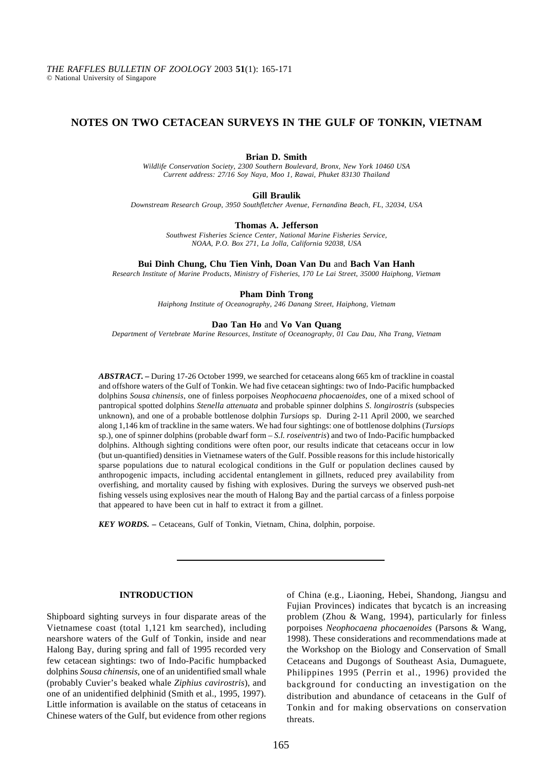# **NOTES ON TWO CETACEAN SURVEYS IN THE GULF OF TONKIN, VIETNAM**

## **Brian D. Smith**

*Wildlife Conservation Society, 2300 Southern Boulevard, Bronx, New York 10460 USA Current address: 27/16 Soy Naya, Moo 1, Rawai, Phuket 83130 Thailand*

### **Gill Braulik**

*Downstream Research Group, 3950 Southfletcher Avenue, Fernandina Beach, FL, 32034, USA*

### **Thomas A. Jefferson**

*Southwest Fisheries Science Center, National Marine Fisheries Service, NOAA, P.O. Box 271, La Jolla, California 92038, USA*

### **Bui Dinh Chung, Chu Tien Vinh, Doan Van Du** and **Bach Van Hanh**

*Research Institute of Marine Products, Ministry of Fisheries, 170 Le Lai Street, 35000 Haiphong, Vietnam*

### **Pham Dinh Trong**

*Haiphong Institute of Oceanography, 246 Danang Street, Haiphong, Vietnam*

## **Dao Tan Ho** and **Vo Van Quang**

*Department of Vertebrate Marine Resources, Institute of Oceanography, 01 Cau Dau, Nha Trang, Vietnam*

*ABSTRACT. –* During 17-26 October 1999, we searched for cetaceans along 665 km of trackline in coastal and offshore waters of the Gulf of Tonkin. We had five cetacean sightings: two of Indo-Pacific humpbacked dolphins *Sousa chinensis*, one of finless porpoises *Neophocaena phocaenoides*, one of a mixed school of pantropical spotted dolphins *Stenella attenuata* and probable spinner dolphins *S*. *longirostris* (subspecies unknown), and one of a probable bottlenose dolphin *Tursiops* sp. During 2-11 April 2000, we searched along 1,146 km of trackline in the same waters. We had four sightings: one of bottlenose dolphins (*Tursiops* sp.), one of spinner dolphins (probable dwarf form – *S.l. roseiventris*) and two of Indo-Pacific humpbacked dolphins. Although sighting conditions were often poor, our results indicate that cetaceans occur in low (but un-quantified) densities in Vietnamese waters of the Gulf. Possible reasons for this include historically sparse populations due to natural ecological conditions in the Gulf or population declines caused by anthropogenic impacts, including accidental entanglement in gillnets, reduced prey availability from overfishing, and mortality caused by fishing with explosives. During the surveys we observed push-net fishing vessels using explosives near the mouth of Halong Bay and the partial carcass of a finless porpoise that appeared to have been cut in half to extract it from a gillnet.

*KEY WORDS. –* Cetaceans, Gulf of Tonkin, Vietnam, China, dolphin, porpoise.

# **INTRODUCTION**

Shipboard sighting surveys in four disparate areas of the Vietnamese coast (total 1,121 km searched), including nearshore waters of the Gulf of Tonkin, inside and near Halong Bay, during spring and fall of 1995 recorded very few cetacean sightings: two of Indo-Pacific humpbacked dolphins *Sousa chinensis*, one of an unidentified small whale (probably Cuvier's beaked whale *Ziphius cavirostris*), and one of an unidentified delphinid (Smith et al., 1995, 1997). Little information is available on the status of cetaceans in Chinese waters of the Gulf, but evidence from other regions

of China (e.g., Liaoning, Hebei, Shandong, Jiangsu and Fujian Provinces) indicates that bycatch is an increasing problem (Zhou & Wang, 1994), particularly for finless porpoises *Neophocaena phocaenoides* (Parsons & Wang, 1998). These considerations and recommendations made at the Workshop on the Biology and Conservation of Small Cetaceans and Dugongs of Southeast Asia, Dumaguete, Philippines 1995 (Perrin et al., 1996) provided the background for conducting an investigation on the distribution and abundance of cetaceans in the Gulf of Tonkin and for making observations on conservation threats.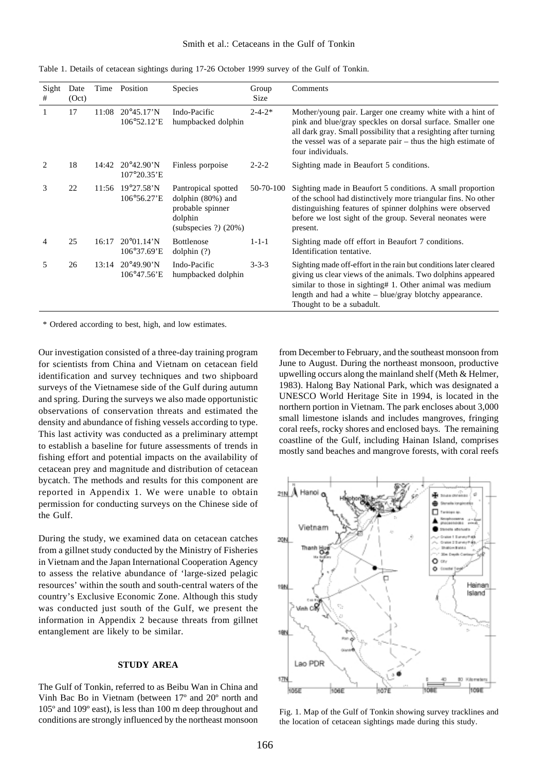## Smith et al.: Cetaceans in the Gulf of Tonkin

| Sight<br>#   | Date<br>(Oct) | Time  | Position                                             | <b>Species</b>                                                                                    | Group<br>Size | Comments                                                                                                                                                                                                                                                                              |
|--------------|---------------|-------|------------------------------------------------------|---------------------------------------------------------------------------------------------------|---------------|---------------------------------------------------------------------------------------------------------------------------------------------------------------------------------------------------------------------------------------------------------------------------------------|
| $\mathbf{1}$ | 17            | 11:08 | $20^{\circ}45.17^{\prime}N$<br>106°52.12'E           | Indo-Pacific<br>humpbacked dolphin                                                                | $2 - 4 - 2*$  | Mother/young pair. Larger one creamy white with a hint of<br>pink and blue/gray speckles on dorsal surface. Smaller one<br>all dark gray. Small possibility that a resighting after turning<br>the vessel was of a separate pair $-$ thus the high estimate of<br>four individuals.   |
| 2            | 18            | 14:42 | $20^{\circ}42.90^{\prime}N$<br>$107^{\circ}20.35$ 'E | Finless porpoise                                                                                  | $2 - 2 - 2$   | Sighting made in Beaufort 5 conditions.                                                                                                                                                                                                                                               |
| 3            | 22            |       | 11:56 19°27.58'N<br>$106^{\circ}56.27$ E             | Pantropical spotted<br>dolphin $(80%)$ and<br>probable spinner<br>dolphin<br>$subspecies ?$ (20%) | 50-70-100     | Sighting made in Beaufort 5 conditions. A small proportion<br>of the school had distinctively more triangular fins. No other<br>distinguishing features of spinner dolphins were observed<br>before we lost sight of the group. Several neonates were<br>present.                     |
| 4            | 25            | 16:17 | $20^{\circ}01.14^{\prime}N$<br>106°37.69'E           | <b>Bottlenose</b><br>$d$ olphin $(?)$                                                             | $1 - 1 - 1$   | Sighting made off effort in Beaufort 7 conditions.<br>Identification tentative.                                                                                                                                                                                                       |
| 5            | 26            | 13:14 | $20^{\circ}49.90^{\prime}N$<br>106°47.56'E           | Indo-Pacific<br>humpbacked dolphin                                                                | $3 - 3 - 3$   | Sighting made off-effort in the rain but conditions later cleared<br>giving us clear views of the animals. Two dolphins appeared<br>similar to those in sighting# 1. Other animal was medium<br>length and had a white $-$ blue/gray blotchy appearance.<br>Thought to be a subadult. |

Table 1. Details of cetacean sightings during 17-26 October 1999 survey of the Gulf of Tonkin.

\* Ordered according to best, high, and low estimates.

Our investigation consisted of a three-day training program for scientists from China and Vietnam on cetacean field identification and survey techniques and two shipboard surveys of the Vietnamese side of the Gulf during autumn and spring. During the surveys we also made opportunistic observations of conservation threats and estimated the density and abundance of fishing vessels according to type. This last activity was conducted as a preliminary attempt to establish a baseline for future assessments of trends in fishing effort and potential impacts on the availability of cetacean prey and magnitude and distribution of cetacean bycatch. The methods and results for this component are reported in Appendix 1. We were unable to obtain permission for conducting surveys on the Chinese side of the Gulf.

During the study, we examined data on cetacean catches from a gillnet study conducted by the Ministry of Fisheries in Vietnam and the Japan International Cooperation Agency to assess the relative abundance of 'large-sized pelagic resources' within the south and south-central waters of the country's Exclusive Economic Zone. Although this study was conducted just south of the Gulf, we present the information in Appendix 2 because threats from gillnet entanglement are likely to be similar.

## **STUDY AREA**

The Gulf of Tonkin, referred to as Beibu Wan in China and Vinh Bac Bo in Vietnam (between 17º and 20º north and 105º and 109º east), is less than 100 m deep throughout and conditions are strongly influenced by the northeast monsoon

from December to February, and the southeast monsoon from June to August. During the northeast monsoon, productive upwelling occurs along the mainland shelf (Meth & Helmer, 1983). Halong Bay National Park, which was designated a UNESCO World Heritage Site in 1994, is located in the northern portion in Vietnam. The park encloses about 3,000 small limestone islands and includes mangroves, fringing coral reefs, rocky shores and enclosed bays. The remaining coastline of the Gulf, including Hainan Island, comprises mostly sand beaches and mangrove forests, with coral reefs



Fig. 1. Map of the Gulf of Tonkin showing survey tracklines and the location of cetacean sightings made during this study.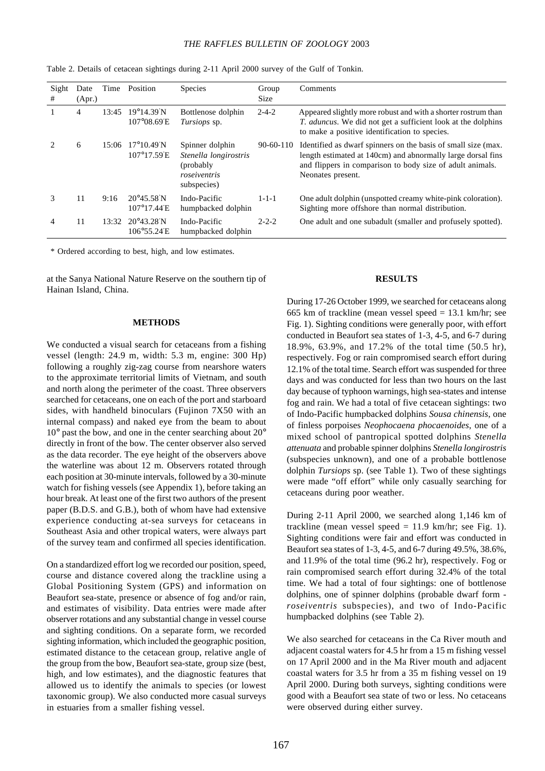# *THE RAFFLES BULLETIN OF ZOOLOGY* 2003

| Sight<br>#    | Date<br>(Apr.) | Time  | Position                                            | <b>Species</b>                                                                        | Group<br><b>Size</b> | Comments                                                                                                                                                                                                       |
|---------------|----------------|-------|-----------------------------------------------------|---------------------------------------------------------------------------------------|----------------------|----------------------------------------------------------------------------------------------------------------------------------------------------------------------------------------------------------------|
| 1             | 4              | 13:45 | $19^{\circ}14.39^{\prime}N$<br>$107^{\circ}08.69$ E | Bottlenose dolphin<br>Tursiops sp.                                                    | $2 - 4 - 2$          | Appeared slightly more robust and with a shorter rostrum than<br><i>T. aduncus.</i> We did not get a sufficient look at the dolphins<br>to make a positive identification to species.                          |
| $\mathcal{D}$ | 6              | 15:06 | $17^{\circ}10.49^{\prime}N$<br>107°17.59 E          | Spinner dolphin<br>Stenella longirostris<br>(probably)<br>roseiventris<br>subspecies) | $90-60-110$          | Identified as dwarf spinners on the basis of small size (max.<br>length estimated at 140cm) and abnormally large dorsal fins<br>and flippers in comparison to body size of adult animals.<br>Neonates present. |
| 3             | 11             | 9:16  | $20^{\circ}45.58$ N<br>$107^{\circ}17.44$ E         | Indo-Pacific<br>humpbacked dolphin                                                    | $1 - 1 - 1$          | One adult dolphin (unspotted creamy white-pink coloration).<br>Sighting more offshore than normal distribution.                                                                                                |
| 4             | 11             | 13:32 | $20^{\circ}43.28^{\prime}N$<br>106°55.24 E          | Indo-Pacific<br>humpbacked dolphin                                                    | $2 - 2 - 2$          | One adult and one subadult (smaller and profusely spotted).                                                                                                                                                    |

Table 2. Details of cetacean sightings during 2-11 April 2000 survey of the Gulf of Tonkin.

\* Ordered according to best, high, and low estimates.

at the Sanya National Nature Reserve on the southern tip of Hainan Island, China.

#### **METHODS**

We conducted a visual search for cetaceans from a fishing vessel (length: 24.9 m, width: 5.3 m, engine: 300 Hp) following a roughly zig-zag course from nearshore waters to the approximate territorial limits of Vietnam, and south and north along the perimeter of the coast. Three observers searched for cetaceans, one on each of the port and starboard sides, with handheld binoculars (Fujinon 7X50 with an internal compass) and naked eye from the beam to about 10° past the bow, and one in the center searching about 20° directly in front of the bow. The center observer also served as the data recorder. The eye height of the observers above the waterline was about 12 m. Observers rotated through each position at 30-minute intervals, followed by a 30-minute watch for fishing vessels (see Appendix 1), before taking an hour break. At least one of the first two authors of the present paper (B.D.S. and G.B.), both of whom have had extensive experience conducting at-sea surveys for cetaceans in Southeast Asia and other tropical waters, were always part of the survey team and confirmed all species identification.

On a standardized effort log we recorded our position, speed, course and distance covered along the trackline using a Global Positioning System (GPS) and information on Beaufort sea-state, presence or absence of fog and/or rain, and estimates of visibility. Data entries were made after observer rotations and any substantial change in vessel course and sighting conditions. On a separate form, we recorded sighting information, which included the geographic position, estimated distance to the cetacean group, relative angle of the group from the bow, Beaufort sea-state, group size (best, high, and low estimates), and the diagnostic features that allowed us to identify the animals to species (or lowest taxonomic group). We also conducted more casual surveys in estuaries from a smaller fishing vessel.

## **RESULTS**

During 17-26 October 1999, we searched for cetaceans along 665 km of trackline (mean vessel speed  $= 13.1$  km/hr; see Fig. 1). Sighting conditions were generally poor, with effort conducted in Beaufort sea states of 1-3, 4-5, and 6-7 during 18.9%, 63.9%, and 17.2% of the total time (50.5 hr), respectively. Fog or rain compromised search effort during 12.1% of the total time. Search effort was suspended for three days and was conducted for less than two hours on the last day because of typhoon warnings, high sea-states and intense fog and rain. We had a total of five cetacean sightings: two of Indo-Pacific humpbacked dolphins *Sousa chinensis*, one of finless porpoises *Neophocaena phocaenoides*, one of a mixed school of pantropical spotted dolphins *Stenella attenuata* and probable spinner dolphins *Stenella longirostris* (subspecies unknown), and one of a probable bottlenose dolphin *Tursiops* sp. (see Table 1). Two of these sightings were made "off effort" while only casually searching for cetaceans during poor weather.

During 2-11 April 2000, we searched along 1,146 km of trackline (mean vessel speed  $= 11.9$  km/hr; see Fig. 1). Sighting conditions were fair and effort was conducted in Beaufort sea states of 1-3, 4-5, and 6-7 during 49.5%, 38.6%, and 11.9% of the total time (96.2 hr), respectively. Fog or rain compromised search effort during 32.4% of the total time. We had a total of four sightings: one of bottlenose dolphins, one of spinner dolphins (probable dwarf form *roseiventris* subspecies), and two of Indo-Pacific humpbacked dolphins (see Table 2).

We also searched for cetaceans in the Ca River mouth and adjacent coastal waters for 4.5 hr from a 15 m fishing vessel on 17 April 2000 and in the Ma River mouth and adjacent coastal waters for 3.5 hr from a 35 m fishing vessel on 19 April 2000. During both surveys, sighting conditions were good with a Beaufort sea state of two or less. No cetaceans were observed during either survey.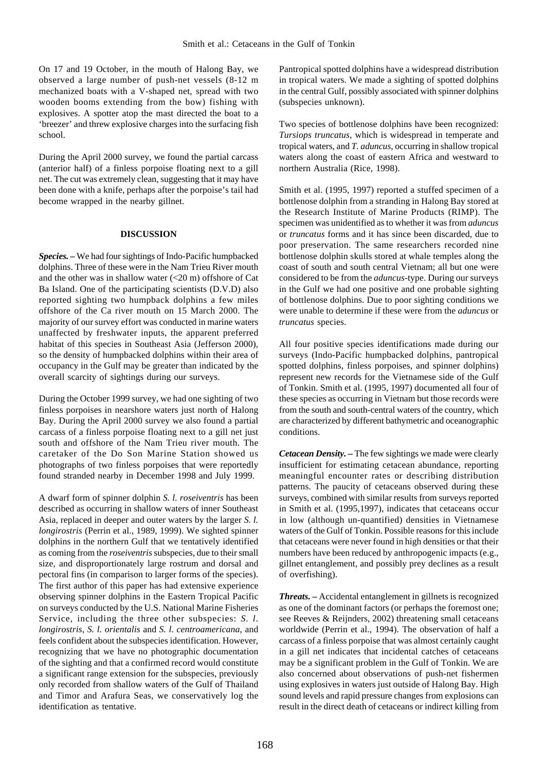On 17 and 19 October, in the mouth of Halong Bay, we observed a large number of push-net vessels (8-12 m mechanized boats with a V-shaped net, spread with two wooden booms extending from the bow) fishing with explosives. A spotter atop the mast directed the boat to a 'breezer' and threw explosive charges into the surfacing fish school.

During the April 2000 survey, we found the partial carcass (anterior half) of a finless porpoise floating next to a gill net. The cut was extremely clean, suggesting that it may have been done with a knife, perhaps after the porpoise's tail had become wrapped in the nearby gillnet.

## **DISCUSSION**

*Species. –* We had four sightings of Indo-Pacific humpbacked dolphins. Three of these were in the Nam Trieu River mouth and the other was in shallow water  $\left( \langle 20 \rangle \text{m} \right)$  offshore of Cat Ba Island. One of the participating scientists (D.V.D) also reported sighting two humpback dolphins a few miles offshore of the Ca river mouth on 15 March 2000. The majority of our survey effort was conducted in marine waters unaffected by freshwater inputs, the apparent preferred habitat of this species in Southeast Asia (Jefferson 2000), so the density of humpbacked dolphins within their area of occupancy in the Gulf may be greater than indicated by the overall scarcity of sightings during our surveys.

During the October 1999 survey, we had one sighting of two finless porpoises in nearshore waters just north of Halong Bay. During the April 2000 survey we also found a partial carcass of a finless porpoise floating next to a gill net just south and offshore of the Nam Trieu river mouth. The caretaker of the Do Son Marine Station showed us photographs of two finless porpoises that were reportedly found stranded nearby in December 1998 and July 1999.

A dwarf form of spinner dolphin *S. l. roseiventris* has been described as occurring in shallow waters of inner Southeast Asia, replaced in deeper and outer waters by the larger *S. l. longirostris* (Perrin et al., 1989, 1999). We sighted spinner dolphins in the northern Gulf that we tentatively identified as coming from the *roseiventris* subspecies, due to their small size, and disproportionately large rostrum and dorsal and pectoral fins (in comparison to larger forms of the species). The first author of this paper has had extensive experience observing spinner dolphins in the Eastern Tropical Pacific on surveys conducted by the U.S. National Marine Fisheries Service, including the three other subspecies: *S. l. longirostris*, *S. l. orientalis* and *S. l. centroamericana*, and feels confident about the subspecies identification. However, recognizing that we have no photographic documentation of the sighting and that a confirmed record would constitute a significant range extension for the subspecies, previously only recorded from shallow waters of the Gulf of Thailand and Timor and Arafura Seas, we conservatively log the identification as tentative.

Pantropical spotted dolphins have a widespread distribution in tropical waters. We made a sighting of spotted dolphins in the central Gulf, possibly associated with spinner dolphins (subspecies unknown).

Two species of bottlenose dolphins have been recognized: *Tursiops truncatus,* which is widespread in temperate and tropical waters, and *T. aduncus*, occurring in shallow tropical waters along the coast of eastern Africa and westward to northern Australia (Rice, 1998).

Smith et al. (1995, 1997) reported a stuffed specimen of a bottlenose dolphin from a stranding in Halong Bay stored at the Research Institute of Marine Products (RIMP). The specimen was unidentified as to whether it was from *aduncus* or *truncatus* forms and it has since been discarded, due to poor preservation. The same researchers recorded nine bottlenose dolphin skulls stored at whale temples along the coast of south and south central Vietnam; all but one were considered to be from the *aduncus*-type. During our surveys in the Gulf we had one positive and one probable sighting of bottlenose dolphins. Due to poor sighting conditions we were unable to determine if these were from the *aduncus* or *truncatus* species.

All four positive species identifications made during our surveys (Indo-Pacific humpbacked dolphins, pantropical spotted dolphins, finless porpoises, and spinner dolphins) represent new records for the Vietnamese side of the Gulf of Tonkin. Smith et al. (1995, 1997) documented all four of these species as occurring in Vietnam but those records were from the south and south-central waters of the country, which are characterized by different bathymetric and oceanographic conditions.

*Cetacean Density. –* The few sightings we made were clearly insufficient for estimating cetacean abundance, reporting meaningful encounter rates or describing distribution patterns. The paucity of cetaceans observed during these surveys, combined with similar results from surveys reported in Smith et al. (1995,1997), indicates that cetaceans occur in low (although un-quantified) densities in Vietnamese waters of the Gulf of Tonkin. Possible reasons for this include that cetaceans were never found in high densities or that their numbers have been reduced by anthropogenic impacts (e.g., gillnet entanglement, and possibly prey declines as a result of overfishing).

*Threats. –* Accidental entanglement in gillnets is recognized as one of the dominant factors (or perhaps the foremost one; see Reeves & Reijnders, 2002) threatening small cetaceans worldwide (Perrin et al., 1994). The observation of half a carcass of a finless porpoise that was almost certainly caught in a gill net indicates that incidental catches of cetaceans may be a significant problem in the Gulf of Tonkin. We are also concerned about observations of push-net fishermen using explosives in waters just outside of Halong Bay. High sound levels and rapid pressure changes from explosions can result in the direct death of cetaceans or indirect killing from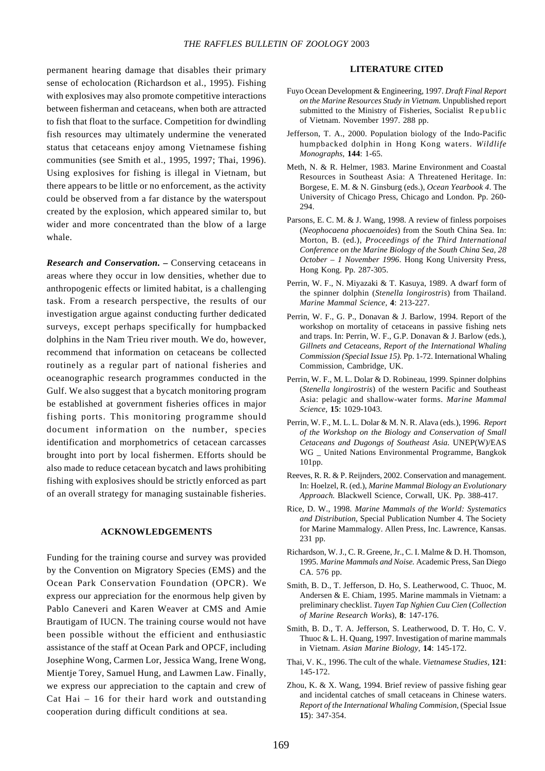permanent hearing damage that disables their primary sense of echolocation (Richardson et al., 1995). Fishing with explosives may also promote competitive interactions between fisherman and cetaceans, when both are attracted to fish that float to the surface. Competition for dwindling fish resources may ultimately undermine the venerated status that cetaceans enjoy among Vietnamese fishing communities (see Smith et al., 1995, 1997; Thai, 1996). Using explosives for fishing is illegal in Vietnam, but there appears to be little or no enforcement, as the activity could be observed from a far distance by the waterspout created by the explosion, which appeared similar to, but wider and more concentrated than the blow of a large whale.

*Research and Conservation. –* Conserving cetaceans in areas where they occur in low densities, whether due to anthropogenic effects or limited habitat, is a challenging task. From a research perspective, the results of our investigation argue against conducting further dedicated surveys, except perhaps specifically for humpbacked dolphins in the Nam Trieu river mouth. We do, however, recommend that information on cetaceans be collected routinely as a regular part of national fisheries and oceanographic research programmes conducted in the Gulf. We also suggest that a bycatch monitoring program be established at government fisheries offices in major fishing ports. This monitoring programme should document information on the number, species identification and morphometrics of cetacean carcasses brought into port by local fishermen. Efforts should be also made to reduce cetacean bycatch and laws prohibiting fishing with explosives should be strictly enforced as part of an overall strategy for managing sustainable fisheries.

## **ACKNOWLEDGEMENTS**

Funding for the training course and survey was provided by the Convention on Migratory Species (EMS) and the Ocean Park Conservation Foundation (OPCR). We express our appreciation for the enormous help given by Pablo Caneveri and Karen Weaver at CMS and Amie Brautigam of IUCN. The training course would not have been possible without the efficient and enthusiastic assistance of the staff at Ocean Park and OPCF, including Josephine Wong, Carmen Lor, Jessica Wang, Irene Wong, Mientje Torey, Samuel Hung, and Lawmen Law. Finally, we express our appreciation to the captain and crew of Cat Hai – 16 for their hard work and outstanding cooperation during difficult conditions at sea.

## **LITERATURE CITED**

- Fuyo Ocean Development & Engineering, 1997. *Draft Final Report on the Marine Resources Study in Vietnam.* Unpublished report submitted to the Ministry of Fisheries, Socialist Republic of Vietnam. November 1997. 288 pp.
- Jefferson, T. A., 2000. Population biology of the Indo-Pacific humpbacked dolphin in Hong Kong waters. *Wildlife Monographs*, **144**: 1-65.
- Meth, N. & R. Helmer, 1983. Marine Environment and Coastal Resources in Southeast Asia: A Threatened Heritage. In: Borgese, E. M. & N. Ginsburg (eds.), *Ocean Yearbook 4*. The University of Chicago Press, Chicago and London. Pp. 260- 294.
- Parsons, E. C. M. & J. Wang, 1998. A review of finless porpoises (*Neophocaena phocaenoides*) from the South China Sea. In: Morton, B. (ed.), *Proceedings of the Third International Conference on the Marine Biology of the South China Sea, 28 October – 1 November 1996*. Hong Kong University Press, Hong Kong. Pp. 287-305.
- Perrin, W. F., N. Miyazaki & T. Kasuya, 1989. A dwarf form of the spinner dolphin (*Stenella longirostris*) from Thailand. *Marine Mammal Science,* **4**: 213-227.
- Perrin, W. F., G. P., Donavan & J. Barlow, 1994. Report of the workshop on mortality of cetaceans in passive fishing nets and traps. In: Perrin, W. F., G.P. Donavan & J. Barlow (eds.), *Gillnets and Cetaceans, Report of the International Whaling Commission (Special Issue 15).* Pp. 1-72. International Whaling Commission, Cambridge, UK.
- Perrin, W. F., M. L. Dolar & D. Robineau, 1999. Spinner dolphins (*Stenella longirostris*) of the western Pacific and Southeast Asia: pelagic and shallow-water forms. *Marine Mammal Science,* **15**: 1029-1043.
- Perrin, W. F., M. L. L. Dolar & M. N. R. Alava (eds.), 1996. *Report of the Workshop on the Biology and Conservation of Small Cetaceans and Dugongs of Southeast Asia.* UNEP(W)/EAS WG \_ United Nations Environmental Programme, Bangkok 101pp.
- Reeves, R. R. & P. Reijnders, 2002. Conservation and management. In: Hoelzel, R. (ed.), *Marine Mammal Biology an Evolutionary Approach.* Blackwell Science, Corwall, UK. Pp. 388-417.
- Rice, D. W., 1998. *Marine Mammals of the World: Systematics and Distribution,* Special Publication Number 4. The Society for Marine Mammalogy. Allen Press, Inc. Lawrence, Kansas. 231 pp.
- Richardson, W. J., C. R. Greene, Jr., C. I. Malme & D. H. Thomson, 1995. *Marine Mammals and Noise.* Academic Press, San Diego CA. 576 pp.
- Smith, B. D., T. Jefferson, D. Ho, S. Leatherwood, C. Thuoc, M. Andersen & E. Chiam, 1995. Marine mammals in Vietnam: a preliminary checklist. *Tuyen Tap Nghien Cuu Cien* (*Collection of Marine Research Works*), **8**: 147-176.
- Smith, B. D., T. A. Jefferson, S. Leatherwood, D. T. Ho, C. V. Thuoc & L. H. Quang, 1997. Investigation of marine mammals in Vietnam. *Asian Marine Biology,* **14**: 145-172.
- Thai, V. K., 1996. The cult of the whale. *Vietnamese Studies,* **121**: 145-172.
- Zhou, K. & X. Wang, 1994. Brief review of passive fishing gear and incidental catches of small cetaceans in Chinese waters. *Report of the International Whaling Commision,* (Special Issue **15**): 347-354.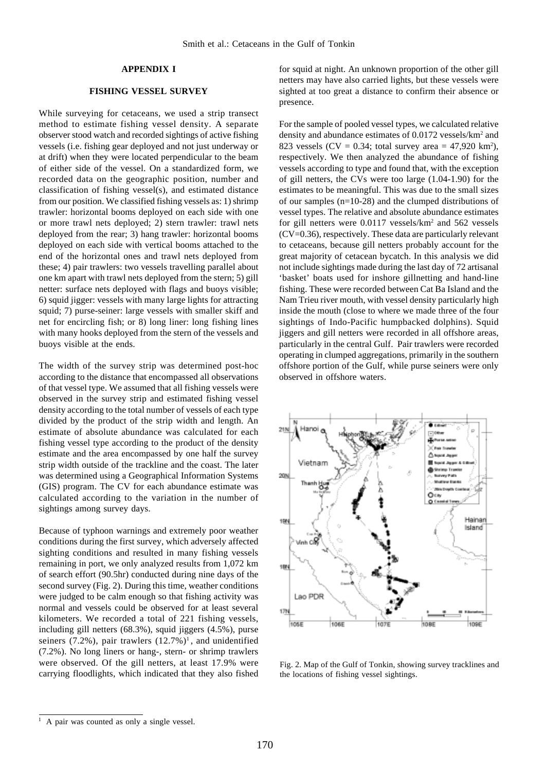## **APPENDIX I**

# **FISHING VESSEL SURVEY**

While surveying for cetaceans, we used a strip transect method to estimate fishing vessel density. A separate observer stood watch and recorded sightings of active fishing vessels (i.e. fishing gear deployed and not just underway or at drift) when they were located perpendicular to the beam of either side of the vessel. On a standardized form, we recorded data on the geographic position, number and classification of fishing vessel(s), and estimated distance from our position. We classified fishing vessels as: 1) shrimp trawler: horizontal booms deployed on each side with one or more trawl nets deployed; 2) stern trawler: trawl nets deployed from the rear; 3) hang trawler: horizontal booms deployed on each side with vertical booms attached to the end of the horizontal ones and trawl nets deployed from these; 4) pair trawlers: two vessels travelling parallel about one km apart with trawl nets deployed from the stern; 5) gill netter: surface nets deployed with flags and buoys visible; 6) squid jigger: vessels with many large lights for attracting squid; 7) purse-seiner: large vessels with smaller skiff and net for encircling fish; or 8) long liner: long fishing lines with many hooks deployed from the stern of the vessels and buoys visible at the ends.

The width of the survey strip was determined post-hoc according to the distance that encompassed all observations of that vessel type. We assumed that all fishing vessels were observed in the survey strip and estimated fishing vessel density according to the total number of vessels of each type divided by the product of the strip width and length. An estimate of absolute abundance was calculated for each fishing vessel type according to the product of the density estimate and the area encompassed by one half the survey strip width outside of the trackline and the coast. The later was determined using a Geographical Information Systems (GIS) program. The CV for each abundance estimate was calculated according to the variation in the number of sightings among survey days.

Because of typhoon warnings and extremely poor weather conditions during the first survey, which adversely affected sighting conditions and resulted in many fishing vessels remaining in port, we only analyzed results from 1,072 km of search effort (90.5hr) conducted during nine days of the second survey (Fig. 2). During this time, weather conditions were judged to be calm enough so that fishing activity was normal and vessels could be observed for at least several kilometers. We recorded a total of 221 fishing vessels, including gill netters (68.3%), squid jiggers (4.5%), purse seiners  $(7.2\%)$ , pair trawlers  $(12.7\%)$ <sup>1</sup>, and unidentified (7.2%). No long liners or hang-, stern- or shrimp trawlers were observed. Of the gill netters, at least 17.9% were carrying floodlights, which indicated that they also fished

for squid at night. An unknown proportion of the other gill netters may have also carried lights, but these vessels were sighted at too great a distance to confirm their absence or presence.

For the sample of pooled vessel types, we calculated relative density and abundance estimates of 0.0172 vessels/km<sup>2</sup> and 823 vessels (CV = 0.34; total survey area =  $47,920 \text{ km}^2$ ), respectively. We then analyzed the abundance of fishing vessels according to type and found that, with the exception of gill netters, the CVs were too large (1.04-1.90) for the estimates to be meaningful. This was due to the small sizes of our samples (n=10-28) and the clumped distributions of vessel types. The relative and absolute abundance estimates for gill netters were 0.0117 vessels/km<sup>2</sup> and 562 vessels (CV=0.36), respectively. These data are particularly relevant to cetaceans, because gill netters probably account for the great majority of cetacean bycatch. In this analysis we did not include sightings made during the last day of 72 artisanal 'basket' boats used for inshore gillnetting and hand-line fishing. These were recorded between Cat Ba Island and the Nam Trieu river mouth, with vessel density particularly high inside the mouth (close to where we made three of the four sightings of Indo-Pacific humpbacked dolphins). Squid jiggers and gill netters were recorded in all offshore areas, particularly in the central Gulf. Pair trawlers were recorded operating in clumped aggregations, primarily in the southern offshore portion of the Gulf, while purse seiners were only observed in offshore waters.



Fig. 2. Map of the Gulf of Tonkin, showing survey tracklines and the locations of fishing vessel sightings.

<sup>1</sup> A pair was counted as only a single vessel.